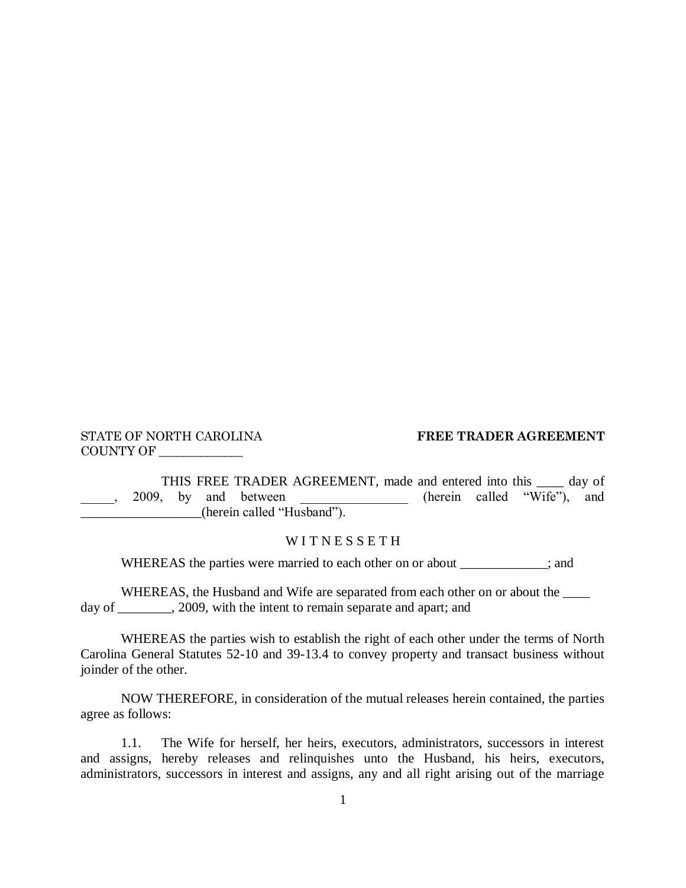COUNTY OF \_\_\_\_\_\_\_\_\_\_\_\_\_\_

## STATE OF NORTH CAROLINA **FREE TRADER AGREEMENT**

THIS FREE TRADER AGREEMENT, made and entered into this <u>see</u> day of<br>by and between (herein called "Wife"), and  $\frac{1}{2009}$ , by and between \_\_\_\_\_\_\_\_\_\_\_\_\_\_\_\_\_\_(herein called "Husband").

## WITNESSETH

WHEREAS the parties were married to each other on or about \_\_\_\_\_\_\_\_\_\_; and

WHEREAS, the Husband and Wife are separated from each other on or about the day of \_\_\_\_\_\_\_\_, 2009, with the intent to remain separate and apart; and

WHEREAS the parties wish to establish the right of each other under the terms of North Carolina General Statutes 52-10 and 39-13.4 to convey property and transact business without joinder of the other.

NOW THEREFORE, in consideration of the mutual releases herein contained, the parties agree as follows:

1.1. The Wife for herself, her heirs, executors, administrators, successors in interest and assigns, hereby releases and relinquishes unto the Husband, his heirs, executors, administrators, successors in interest and assigns, any and all right arising out of the marriage